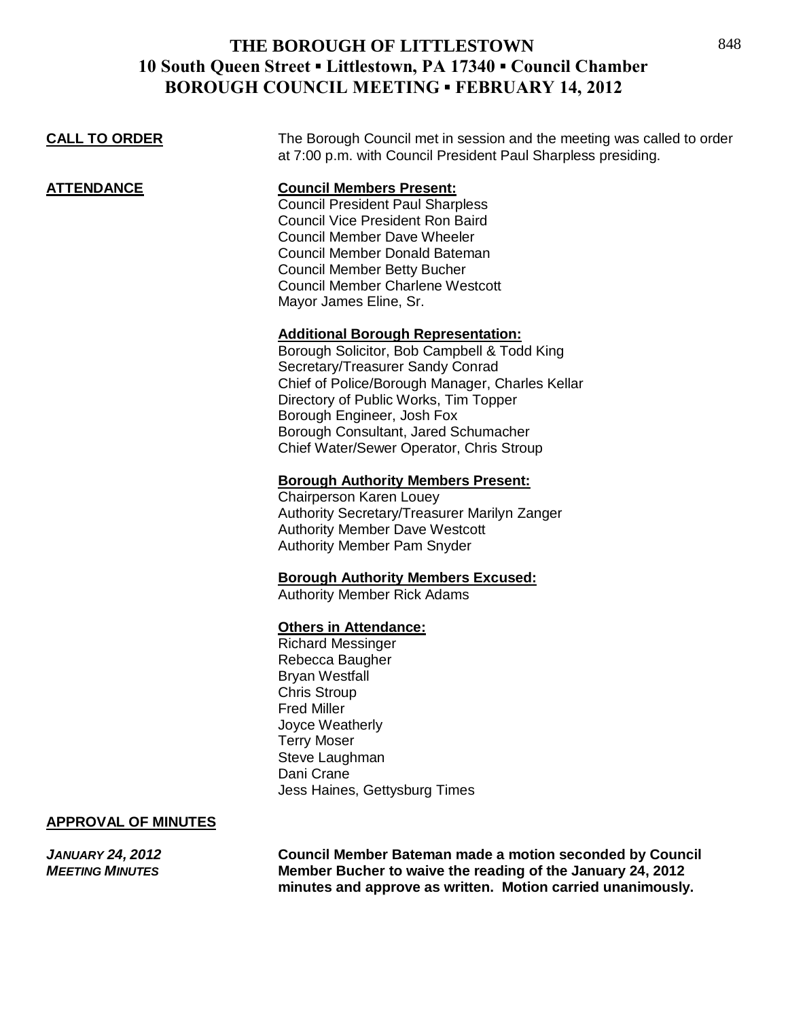## **THE BOROUGH OF LITTLESTOWN 10 South Queen Street ▪ Littlestown, PA 17340 ▪ Council Chamber BOROUGH COUNCIL MEETING ▪ FEBRUARY 14, 2012**

**CALL TO ORDER** The Borough Council met in session and the meeting was called to order at 7:00 p.m. with Council President Paul Sharpless presiding.

**ATTENDANCE Council Members Present:**

Council President Paul Sharpless Council Vice President Ron Baird Council Member Dave Wheeler Council Member Donald Bateman Council Member Betty Bucher Council Member Charlene Westcott Mayor James Eline, Sr.

### **Additional Borough Representation:**

Borough Solicitor, Bob Campbell & Todd King Secretary/Treasurer Sandy Conrad Chief of Police/Borough Manager, Charles Kellar Directory of Public Works, Tim Topper Borough Engineer, Josh Fox Borough Consultant, Jared Schumacher Chief Water/Sewer Operator, Chris Stroup

### **Borough Authority Members Present:**

Chairperson Karen Louey Authority Secretary/Treasurer Marilyn Zanger Authority Member Dave Westcott Authority Member Pam Snyder

### **Borough Authority Members Excused:**

Authority Member Rick Adams

#### **Others in Attendance:**

Richard Messinger Rebecca Baugher Bryan Westfall Chris Stroup Fred Miller Joyce Weatherly Terry Moser Steve Laughman Dani Crane Jess Haines, Gettysburg Times

#### **APPROVAL OF MINUTES**

*JANUARY 24, 2012* **Council Member Bateman made a motion seconded by Council** *MEETING MINUTES* **Member Bucher to waive the reading of the January 24, 2012 minutes and approve as written. Motion carried unanimously.**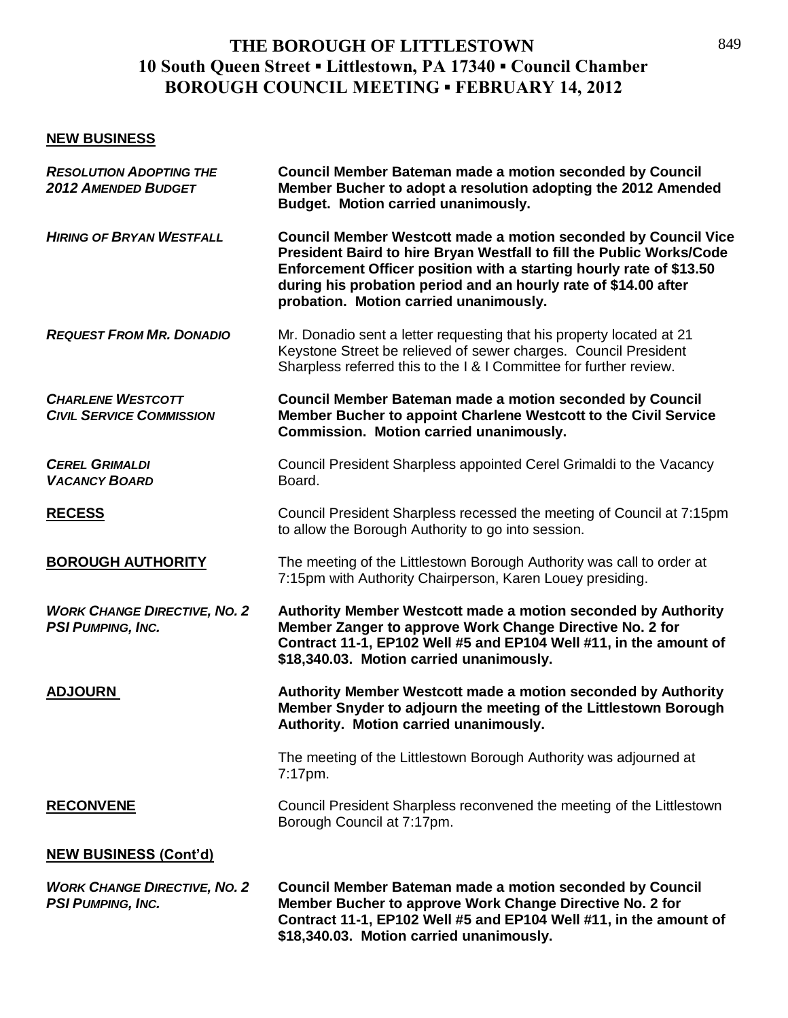# **THE BOROUGH OF LITTLESTOWN 10 South Queen Street ▪ Littlestown, PA 17340 ▪ Council Chamber BOROUGH COUNCIL MEETING ▪ FEBRUARY 14, 2012**

## **NEW BUSINESS**

| <b>RESOLUTION ADOPTING THE</b><br><b>2012 AMENDED BUDGET</b>    | <b>Council Member Bateman made a motion seconded by Council</b><br>Member Bucher to adopt a resolution adopting the 2012 Amended<br><b>Budget. Motion carried unanimously.</b>                                                                                                                                                    |
|-----------------------------------------------------------------|-----------------------------------------------------------------------------------------------------------------------------------------------------------------------------------------------------------------------------------------------------------------------------------------------------------------------------------|
| <b>HIRING OF BRYAN WESTFALL</b>                                 | <b>Council Member Westcott made a motion seconded by Council Vice</b><br>President Baird to hire Bryan Westfall to fill the Public Works/Code<br>Enforcement Officer position with a starting hourly rate of \$13.50<br>during his probation period and an hourly rate of \$14.00 after<br>probation. Motion carried unanimously. |
| <b>REQUEST FROM MR. DONADIO</b>                                 | Mr. Donadio sent a letter requesting that his property located at 21<br>Keystone Street be relieved of sewer charges. Council President<br>Sharpless referred this to the I & I Committee for further review.                                                                                                                     |
| <b>CHARLENE WESTCOTT</b><br><b>CIVIL SERVICE COMMISSION</b>     | <b>Council Member Bateman made a motion seconded by Council</b><br>Member Bucher to appoint Charlene Westcott to the Civil Service<br>Commission. Motion carried unanimously.                                                                                                                                                     |
| <b>CEREL GRIMALDI</b><br><b>VACANCY BOARD</b>                   | Council President Sharpless appointed Cerel Grimaldi to the Vacancy<br>Board.                                                                                                                                                                                                                                                     |
| <b>RECESS</b>                                                   | Council President Sharpless recessed the meeting of Council at 7:15pm<br>to allow the Borough Authority to go into session.                                                                                                                                                                                                       |
| <b>BOROUGH AUTHORITY</b>                                        | The meeting of the Littlestown Borough Authority was call to order at<br>7:15pm with Authority Chairperson, Karen Louey presiding.                                                                                                                                                                                                |
| <b>WORK CHANGE DIRECTIVE, NO. 2</b><br><b>PSI PUMPING, INC.</b> | Authority Member Westcott made a motion seconded by Authority<br>Member Zanger to approve Work Change Directive No. 2 for<br>Contract 11-1, EP102 Well #5 and EP104 Well #11, in the amount of<br>\$18,340.03. Motion carried unanimously.                                                                                        |
| <b>ADJOURN</b>                                                  | Authority Member Westcott made a motion seconded by Authority<br>Member Snyder to adjourn the meeting of the Littlestown Borough<br>Authority. Motion carried unanimously.                                                                                                                                                        |
|                                                                 | The meeting of the Littlestown Borough Authority was adjourned at<br>7:17pm.                                                                                                                                                                                                                                                      |
| <b>RECONVENE</b>                                                | Council President Sharpless reconvened the meeting of the Littlestown<br>Borough Council at 7:17pm.                                                                                                                                                                                                                               |
| <b>NEW BUSINESS (Cont'd)</b>                                    |                                                                                                                                                                                                                                                                                                                                   |
| <b>WORK CHANGE DIRECTIVE, NO. 2</b><br><b>PSI PUMPING, INC.</b> | <b>Council Member Bateman made a motion seconded by Council</b><br>Member Bucher to approve Work Change Directive No. 2 for<br>Contract 11-1, EP102 Well #5 and EP104 Well #11, in the amount of<br>\$18,340.03. Motion carried unanimously.                                                                                      |